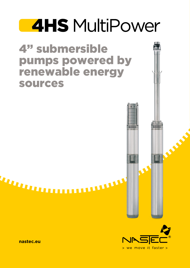# **4HS** MultiPower

4" submersible pumps powered by renewable energy sources





BEBBE

**BBBB** 

**nastec.eu**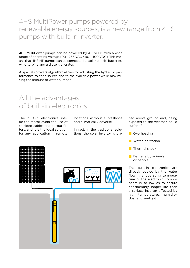## 4HS MultiPower pumps powered by renewable energy sources, is a new range from 4HS pumps with built-in inverter.

4HS MultiPower pumps can be powered by AC or DC with a wide range of operating voltage (90 - 265 VAC / 90 - 400 VDC). This means that 4HS MP pumps can be connected to solar panels, batteries, wind turbine and a diesel generator.

A special software algorithm allows for adjusting the hydraulic performance to each source and to the available power while maximising the amount of water pumped.

# All the advantages of built-in electronics

The built-in electronics inside the motor avoid the use of shielded cables and output filters, and it is the ideal solution for any application in remote locations without surveillance and climatically adverse.

In fact, in the traditional solutions, the solar inverter is pla-



ced above ground and, being exposed to the weather, could suffer of:

- **Overheating**
- **Water infiltration**
- $\blacksquare$  Thermal shock
- **Damage by animals** or people

The built-in electronics are directly cooled by the water flow; the operating temperature of the electronic components is so low as to ensure considerably longer life than a surface inverter affected by high temperatures, humidity, dust and sunlight.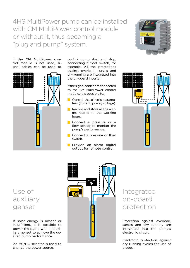4HS MultiPower pump can be installed with CM MultiPower control module or without it, thus becoming a "plug and pump" system.



If the CM MultiPower control module is not used, signal cables can be used to



control pump start and stop, connecting a float switch, for example. All the protections against overload, surges and dry running are integrated into the on-board inverter.

If the signal cables are connected to the CM MultiPower control module, it is possible to:

- Control the electric parameters (current, power, voltage).
- Record and store all the alarms related to the working hours.
- Connect a pressure or a flow sensor to monitor the pump's performance.
- Connect a pressure or float switch.
- **Provide an alarm digital** output for remote control.



Use of auxiliary genset

If solar energy is absent or insufficient, it is possible to power the pump with an auxiliary genset to achieve the desired pump performance.

An AC/DC selector is used to change the power source.



# Integrated on-board protection

Protection against overload, surges and dry running are integrated into the pump's electronic circuit.

Electronic protection against dry running avoids the use of probes.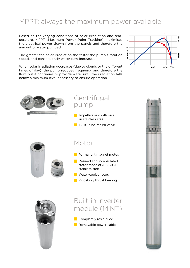# MPPT: always the maximum power available

Based on the varying conditions of solar irradiation and temperature, MPPT (Maximum Power Point Tracking) maximises the electrical power drawn from the panels and therefore the amount of water pumped.

The greater the solar irradiation the faster the pump's rotation speed, and consequently water flow increases.

When solar irradiation decreases (due to clouds or the different times of day), the pump reduces frequency and therefore the flow, but it continues to provide water until the irradiation falls below a minimum level necessary to ensure operation.



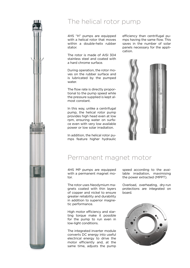

# The helical rotor pump

4HS "H" pumps are equipped with a helical rotor that moves within a double-helix rubber stator.

The rotor is made of AISI 304 stainless steel and coated with a hard chrome surface.

During operation, the rotor moves on the rubber surface and is lubricated by the pumped water.

The flow rate is directly proportional to the pump speed while the pressure supplied is kept almost constant.

In this way, unlike a centrifugal pump, the helical rotor pump provides high head even at low rpm, ensuring water on surface even with very low available power or low solar irradiation.

In addition, the helical rotor pumps feature higher hydraulic efficiency than centrifugal pumps having the same flow. This saves in the number of solar panels necessary for the application.



## Permanent magnet motor

4HS MP pumps are equipped with a permanent magnet motor.

The rotor uses Neodymium magnets coated with thin layers of copper and nickel to ensure greater reliability and durability in addition to superior magnetic performance.

High motor efficiency and starting torque make it possible for the pump to run even in low-light conditions.

The integrated inverter module converts DC energy into useful electrical energy to drive the motor efficiently and, at the same time, adjusts the pump

speed according to the available irradiation, maximising the power extracted (MPPT).

Overload, overheating, dry-run protections are integrated on board.

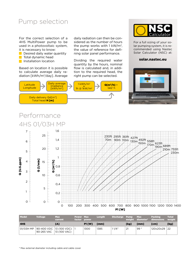# Pump selection

For the correct selection of a 4HS MultiPower pump to be used in a photovoltaic system, it is necessary to know:

**Desired daily water quantity Total dynamic head Installation location** 

Based on location it is possible to calculate average daily radiation [kWh/m2/day]. Average daily radiation can then be considered as the number of hours the pump works with 1 kW/m2, the value of reference for defining solar panel performance.

Dividing the required water quantity by the hours, nominal flow is calculated and, in addition to the required head, the right pump can be selected.





For a full sizing of your solar pumping system, it is recommended using Nastec Solar Calculator (NSC) at:

#### solar.nastec.eu



## Performance 4HS 01/03H MP



| <b>Model</b> | <b>Voltage</b>                                                     | <b>Max</b><br>current | Power Max<br>factor power |        | <b>Length</b> | Discharge Pump |      | <b>Max</b> | <b>Packing</b><br>weight diameter* dimensions | <b>Total</b><br>weight |
|--------------|--------------------------------------------------------------------|-----------------------|---------------------------|--------|---------------|----------------|------|------------|-----------------------------------------------|------------------------|
| 4HS          |                                                                    | [A]                   |                           | P1 IW1 | [mm]          |                | [kg] | [mm]       | <b>Tcm1</b>                                   | [kg]                   |
|              | 01/03H MP   90-400 VDC   13 (100 VDC)  <br>90-265 VAC 13 (100 VAC) |                       |                           | 1300   | 1385          | 11/4"          | 21   | $99*$      | 120x20x29 22                                  |                        |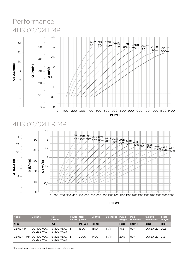# Performance 4HS 02/02H MP



| v |  |
|---|--|

| <b>Model</b> | <b>Voltage</b>          | <b>Max</b><br>current                                           | <b>Power Max</b> | factor power  | Length | Discharge Pump |      | Max<br>weight diameter* | <b>Packing</b><br>dimensions | <b>Total</b><br>weight |
|--------------|-------------------------|-----------------------------------------------------------------|------------------|---------------|--------|----------------|------|-------------------------|------------------------------|------------------------|
| 4HS          |                         | [A]                                                             |                  | <b>P1 [W]</b> | [mm]   |                | [kg] | [mm]                    | [cm]                         | [kg]                   |
| 02/02H MP    | 90-265 VAC 13 (100 VAC) | 90-400 VDC   13 (100 VDC)                                       |                  | 1300          | 1350   | 11/4"          | 19,5 | 99 *                    | 120x20x29 20.5               |                        |
|              | 90-265 VAC              | 02/02HR MP   90-400 VDC   16 (125 VDC)<br>$16(125 \text{ VAC})$ |                  | 2000          | 1400   | 11/4"          | 20.5 | 99 *                    | 120x20x29 21.5               |                        |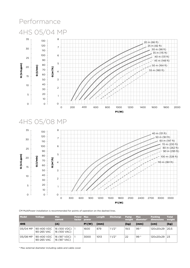#### Performance 4HS 05/04 MP 4HS 05/04 MP 7 8 120 130 30 35 20 m (66 ft) 25 m (82 ft)



## 4HS 05/08 MP 4HS 05/08 MP



#### CM MultiPower installation is recommended for points of operation on the dashed lines.

| <b>Model</b> | <b>Voltage</b>           | <b>Max</b><br>current        | <b>Power Max</b> | factor power  | <b>Length</b> | <b>Discharge</b> | <b>Pump</b><br>weight | <b>Max</b><br>diameter* | <b>Packing</b><br>dimensions | <b>Total</b><br>weight |
|--------------|--------------------------|------------------------------|------------------|---------------|---------------|------------------|-----------------------|-------------------------|------------------------------|------------------------|
| 4HS          |                          | [A]                          |                  | <b>P1 [W]</b> | [mm]          |                  | [kg]                  | [mm]                    | [cm]                         | [kg]                   |
| 05/04 MP     | 90-400 VDC<br>90-265 VAC | 16 (100 VDC)<br>16 (100 VAC) |                  | 1600          | 879           | 11/2"            | 19,5                  | $99*$                   | 120x20x29                    | 20.5                   |
| 05/08 MP     | 90-400 VDC<br>90-265 VAC | 16 (187 VDC)<br>16 (187 VAC) |                  | 3000          | 1013          | 11/2"            | 22                    | $99*$                   | 120x20x29                    | $\frac{123}{}$         |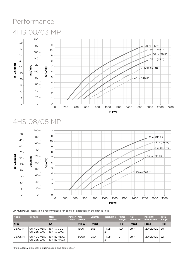# Performance 4HS 08/03 MP 4HS 08/03 MP



## 4HS 08/05 MP 4HS 08/05 MP



CM MultiPower installation is recommended for points of operation on the dashed lines.

| Model    | <b>Voltage</b>           | <b>Max</b><br>current        | Power Max<br>factor power |               | <b>Length</b> | <b>Discharge</b> | <b>Pump</b><br>weight | <b>Max</b><br>diameter* | <b>Packing</b><br>dimensions | <b>Total</b><br>weight |
|----------|--------------------------|------------------------------|---------------------------|---------------|---------------|------------------|-----------------------|-------------------------|------------------------------|------------------------|
| 4HS      |                          | [A]                          |                           | <b>P1 [W]</b> | [mm]          |                  | [kg]                  | [mm]                    | [cm]                         | [kg]                   |
| 08/03 MP | 90-400 VDC<br>90-265 VAC | 16 (113 VDC)<br>16 (113 VAC) |                           | 1800          | 858           | 11/2"<br>າ"      | 19.4                  | $99*$                   | 120x20x29                    | 20                     |
| 08/05 MP | 90-400 VDC<br>90-265 VAC | 16 (187 VDC)<br>16 (187 VAC) |                           | 3000          | 950           | 11/2"<br>つ"      | 21                    | $99*$                   | 120x20x29                    | 22                     |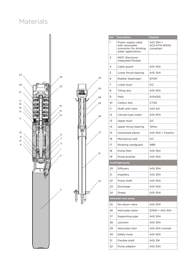# Materials



| Ref | <b>Description</b>                                                                   | <b>Material</b>                         |
|-----|--------------------------------------------------------------------------------------|-----------------------------------------|
| 1   | Power supply cable<br>with removable<br>connector for drinking<br>water applications | AISI 304 +<br>ACS-KTM-WRAS<br>compliant |
| 3   | <b>MINT: Electronic</b><br><b>Integrated Module</b>                                  |                                         |
| 4   | Cable guard                                                                          | AISI 304                                |
| 5   | Lower thrust bearing                                                                 | AISI 304                                |
| 6   | Rubber diaphragm                                                                     | <b>EPDM</b>                             |
| 7   | Lower bush                                                                           | SiC                                     |
| 8   | Tilting disc                                                                         | AISI 304                                |
| 9   | Pads                                                                                 | AISI420j                                |
| 10  | Carbon disc                                                                          | CTI25                                   |
| 11  | Shaft with rotor                                                                     | AISI 431                                |
| 12  | Canned type stator                                                                   | AISI 304                                |
| 13  | Upper bush                                                                           | SiC                                     |
| 14  | Upper thrust bearing                                                                 | Teflon                                  |
| 15  | Ceramized sleeve                                                                     | AISI 304 + Ceramic                      |
| 16  | Mechanical seal                                                                      | SiC                                     |
| 17  | Rotating sandguard                                                                   | NBR                                     |
| 18  | Pump filter                                                                          | AISI 304                                |
| 19  | Pump bracket                                                                         | AISI 304                                |
|     | <b>Centrifugal pump</b>                                                              |                                         |
| 20  | <b>Diffusers</b>                                                                     | AISI 304                                |
| 21  | Impellers                                                                            | AISI 304                                |
| 22  | Pump shaft                                                                           | AISI 304                                |
| 23  | Discharge                                                                            | AISI 304                                |
| 24  | <b>Straps</b>                                                                        | AISI 304                                |
|     | <b>Helicoidal rotor pump</b>                                                         |                                         |
| 25  | No-return valve                                                                      | AISI 304                                |
| 26  | Helicoidal stator                                                                    | EPDM + AISI 304                         |
| 27  | Supporting pipe                                                                      | AISI 304                                |
| 28  | Junction                                                                             | AISI 304                                |
| 29  | Helicoidal rotor                                                                     | AISI 304 cromed                         |
| 30  | Safety hook                                                                          | AISI 304                                |
| 31  | Flexible shaft                                                                       | AISI 316                                |
| 32  | Pump adaptor                                                                         | AISI 304                                |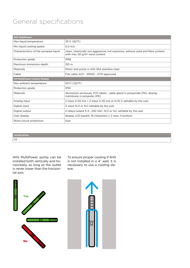# General specifications

| <b>4HS MultiPower</b>                |                                                                                                                                |
|--------------------------------------|--------------------------------------------------------------------------------------------------------------------------------|
| Max liquid temperature               | 35°C (92°F)                                                                                                                    |
| Min liquid cooling speed             | $0.2 \, \text{m/s}$                                                                                                            |
| Characteristics of the pumped liquid | clean, chemically not aggressive, not explosive, without solid and fibre content,<br>with max 50 g/m <sup>3</sup> sand content |
| Protection grade                     | <b>IP68</b>                                                                                                                    |
| Maximum immersion depth              | 150 m                                                                                                                          |
| <b>Materials</b>                     | Motor and pump in AISI 304 stainless steel                                                                                     |
| Cable                                | Flat cable ACS - WRAS - KTM approved                                                                                           |
| <b>CM MultiPower Control Module</b>  |                                                                                                                                |
| Max ambient temperature              | 50°C (122°F)                                                                                                                   |
| Protection grade                     | <b>IP55</b>                                                                                                                    |
| <b>Materials</b>                     | Aluminium enclosure, PVC labels, cable gland in polyamide (PA), display<br>membrane in polyester (PE)                          |
| Analog input                         | 2 input 4-20 mA + 2 input 4-20 mA or 0-10 V settable by the user                                                               |
| Digital input                        | 4 input N.O or N.C settable by the user                                                                                        |
| Digital output                       | 2 relays output 5 A, 250 VAC, N.O or N.C settable by the user                                                                  |
| User display                         | display LCD backlit, 16 characters x 2 rows, 5 buttons                                                                         |
| Short-circuit protection             | fuse                                                                                                                           |

| <b>Certifications</b> |  |
|-----------------------|--|
| <b>CE</b>             |  |

4HS MultiPower pump can be installed both vertically and horizontally, as long as the outlet is never lower than the horizontal axis.

To ensure proper cooling if 4HS is not installed in a 4" well, it is necessary to use a cooling sleeve.